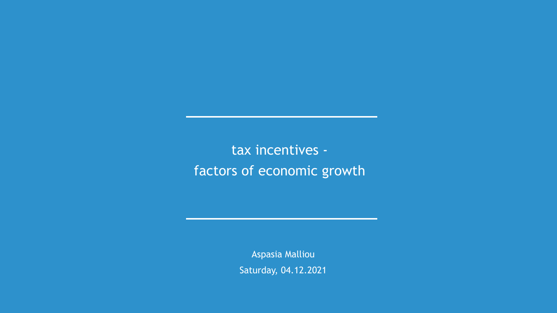tax incentives factors of economic growth

> Aspasia Malliou Saturday, 04.12.2021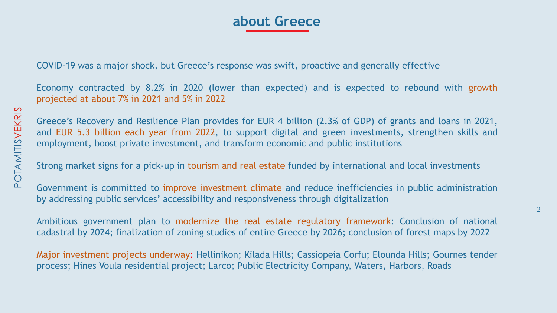2

### **about Greece**

COVID-19 was a major shock, but Greece's response was swift, proactive and generally effective

Economy contracted by 8.2% in 2020 (lower than expected) and is expected to rebound with growth projected at about 7% in 2021 and 5% in 2022

Greece's Recovery and Resilience Plan provides for EUR 4 billion (2.3% of GDP) of grants and loans in 2021, and EUR 5.3 billion each year from 2022, to support digital and green investments, strengthen skills and employment, boost private investment, and transform economic and public institutions

Strong market signs for a pick-up in tourism and real estate funded by international and local investments

Government is committed to improve investment climate and reduce inefficiencies in public administration by addressing public services' accessibility and responsiveness through digitalization

Ambitious government plan to modernize the real estate regulatory framework: Conclusion of national cadastral by 2024; finalization of zoning studies of entire Greece by 2026; conclusion of forest maps by 2022

Major investment projects underway: Hellinikon; Kilada Hills; Cassiopeia Corfu; Elounda Hills; Gournes tender process; Hines Voula residential project; Larco; Public Electricity Company, Waters, Harbors, Roads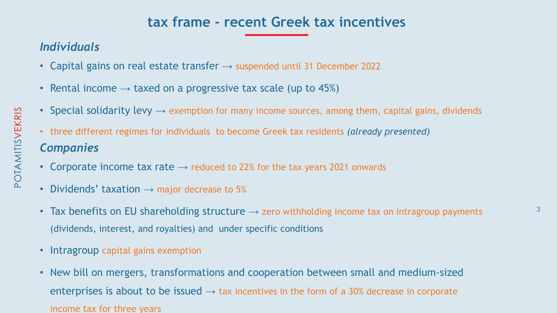

### **tax frame - recent Greek tax incentives**

### *Individuals*

- Capital gains on real estate transfer  $\rightarrow$  suspended until 31 December 2022
- Rental income  $\rightarrow$  taxed on a progressive tax scale (up to 45%)
- Special solidarity levy  $\rightarrow$  exemption for many income sources, among them, capital gains, dividends
- three different regimes for individuals to become Greek tax residents *(already presented) Companies*
- Corporate income tax rate  $\rightarrow$  reduced to 22% for the tax years 2021 onwards
- Dividends' taxation  $\rightarrow$  major decrease to 5%
- Tax benefits on EU shareholding structure  $\rightarrow$  zero withholding income tax on intragroup payments (dividends, interest, and royalties) and under specific conditions
- Intragroup capital gains exemption
- New bill on mergers, transformations and cooperation between small and medium-sized enterprises is about to be issued  $\rightarrow$  tax incentives in the form of a 30% decrease in corporate income tax for three years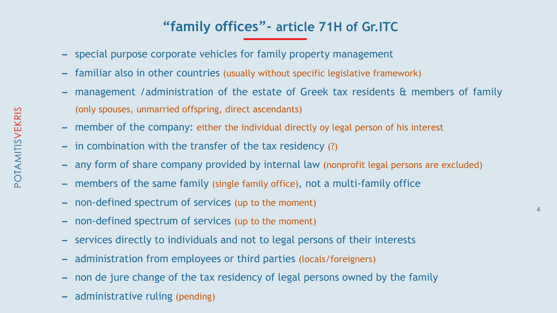- special purpose corporate vehicles for family property management
- familiar also in other countries (usually without specific legislative framework)
- management /administration of the estate of Greek tax residents & members of family (only spouses, unmarried offspring, direct ascendants)
- member of the company: either the individual directly oy legal person of his interest
- in combination with the transfer of the tax residency (?)
- any form of share company provided by internal law (nonprofit legal persons are excluded)
- members of the same family (single family office), not a multi-family office
- non-defined spectrum of services (up to the moment)
- non-defined spectrum of services (up to the moment)
- services directly to individuals and not to legal persons of their interests
- administration from employees or third parties (locals/foreigners)
- non de jure change of the tax residency of legal persons owned by the family
- administrative ruling (pending)

4

## **"family offices"- article 71H of Gr.ITC**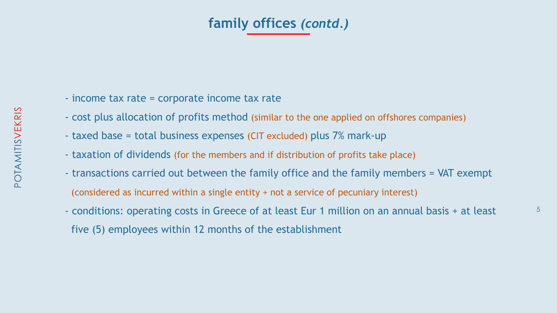- income tax rate = corporate income tax rate
- cost plus allocation of profits method (similar to the one applied on offshores companies)
- taxed base = total business expenses (CIT excluded) plus 7% mark-up
- taxation of dividends (for the members and if distribution of profits take place)
- transactions carried out between the family office and the family members = VAT exempt (considered as incurred within a single entity + not a service of pecuniary interest)
- conditions: operating costs in Greece of at least Eur 1 million on an annual basis + at least five (5) employees within 12 months of the establishment

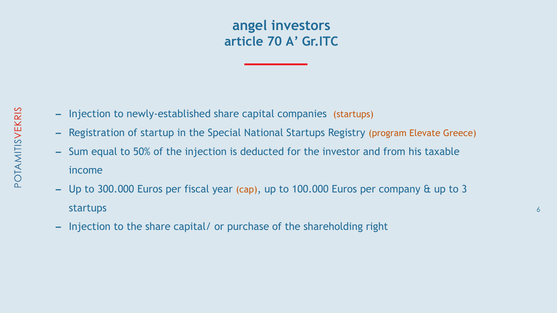

- Injection to newly-established share capital companies (startups)
- Registration of startup in the Special National Startups Registry (program Elevate Greece)
- Sum equal to 50% of the injection is deducted for the investor and from his taxable
- income
- Up to 300.000 Euros per fiscal year (cap), up to 100.000 Euros per company & up to 3 startups
- Injection to the share capital/ or purchase of the shareholding right

### **angel investors article 70 Α' Gr.ITC**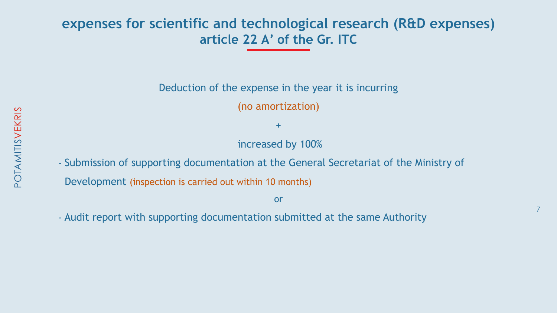### **expenses for scientific and technological research (R&D expenses) article 22 Α' of the Gr. ITC**

- Deduction of the expense in the year it is incurring
	- (no amortization)
		- +
	- increased by 100%

- Submission of supporting documentation at the General Secretariat of the Ministry of Development (inspection is carried out within 10 months)
- Audit report with supporting documentation submitted at the same Authority

or

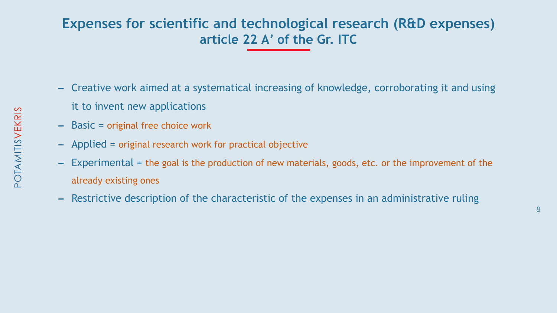### **Expenses for scientific and technological research (R&D expenses) article 22 Α' of the Gr. ITC**

- Creative work aimed at a systematical increasing of knowledge, corroborating it and using
- it to invent new applications
- Basic = original free choice work
- Applied = original research work for practical objective
- Experimental = the goal is the production of new materials, goods, etc. or the improvement of the already existing ones
- Restrictive description of the characteristic of the expenses in an administrative ruling

8